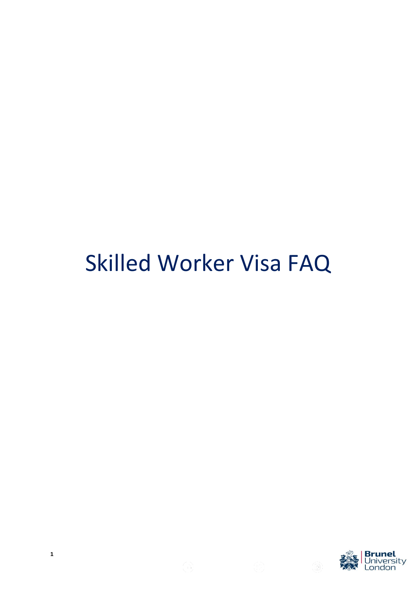# Skilled Worker Visa FAQ



**1**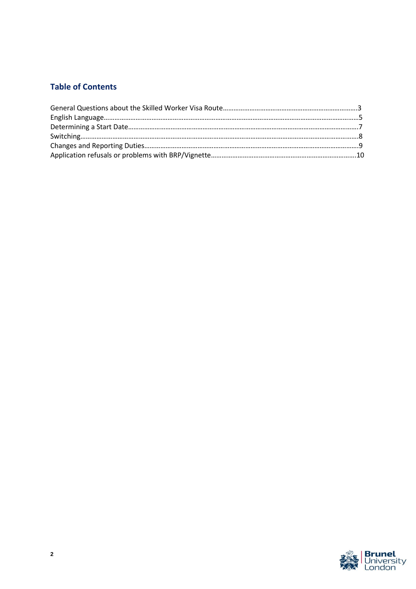# **Table of Contents**

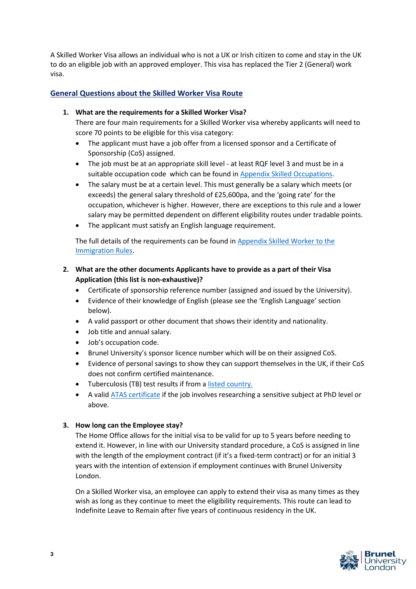A Skilled Worker Visa allows an individual who is not a UK or Irish citizen to come and stay in the UK to do an eligible job with an approved employer. This visa has replaced the Tier 2 (General) work visa.

# **General Questions about the Skilled Worker Visa Route**

#### **1. What are the requirements for a Skilled Worker Visa?**

There are four main requirements for a Skilled Worker visa whereby applicants will need to score 70 points to be eligible for this visa category:

- The applicant must have a job offer from a licensed sponsor and a Certificate of Sponsorship (CoS) assigned.
- The job must be at an appropriate skill level at least RQF level 3 and must be in a suitable occupation code which can be found i[n Appendix Skilled Occupations.](https://www.gov.uk/guidance/immigration-rules/immigration-rules-appendix-skilled-occupations)
- The salary must be at a certain level. This must generally be a salary which meets (or exceeds) the general salary threshold of £25,600pa, and the 'going rate' for the occupation, whichever is higher. However, there are exceptions to this rule and a lower salary may be permitted dependent on different eligibility routes under tradable points.
- The applicant must satisfy an English language requirement.

The full details of the requirements can be found in [Appendix Skilled Worker to the](https://www.gov.uk/guidance/immigration-rules/immigration-rules-appendix-skilled-worker)  [Immigration Rules.](https://www.gov.uk/guidance/immigration-rules/immigration-rules-appendix-skilled-worker)

# **2. What are the other documents Applicants have to provide as a part of their Visa Application (this list is non-exhaustive)?**

- Certificate of sponsorship reference number (assigned and issued by the University).
- Evidence of their knowledge of English (please see the 'English Language' section below).
- A valid passport or other document that shows their identity and nationality.
- Job title and annual salary.
- Job's occupation code.
- Brunel University's sponsor licence number which will be on their assigned CoS.
- Evidence of personal savings to show they can support themselves in the UK, if their CoS does not confirm certified maintenance.
- Tuberculosis (TB) test results if from [a listed country.](https://www.gov.uk/tb-test-visa/countries-where-you-need-a-tb-test-to-enter-the-uk)
- A vali[d ATAS certificate](https://www.gov.uk/guidance/find-out-if-you-require-an-atas-certificate) if the job involves researching a sensitive subject at PhD level or above.

#### **3. How long can the Employee stay?**

The Home Office allows for the initial visa to be valid for up to 5 years before needing to extend it. However, in line with our University standard procedure, a CoS is assigned in line with the length of the employment contract (if it's a fixed-term contract) or for an initial 3 years with the intention of extension if employment continues with Brunel University London.

On a Skilled Worker visa, an employee can apply to extend their visa as many times as they wish as long as they continue to meet the eligibility requirements. This route can lead to Indefinite Leave to Remain after five years of continuous residency in the UK.

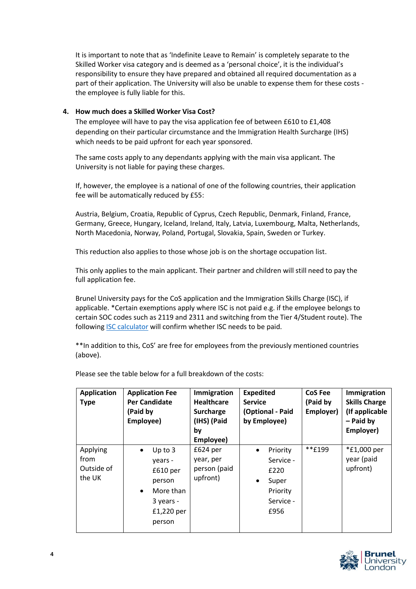It is important to note that as 'Indefinite Leave to Remain' is completely separate to the Skilled Worker visa category and is deemed as a 'personal choice', it is the individual's responsibility to ensure they have prepared and obtained all required documentation as a part of their application. The University will also be unable to expense them for these costs the employee is fully liable for this.

# **4. How much does a Skilled Worker Visa Cost?**

The employee will have to pay the visa application fee of between £610 to £1,408 depending on their particular circumstance and the Immigration Health Surcharge (IHS) which needs to be paid upfront for each year sponsored.

The same costs apply to any dependants applying with the main visa applicant. The University is not liable for paying these charges.

If, however, the employee is a national of one of the following countries, their application fee will be automatically reduced by £55:

Austria, Belgium, Croatia, Republic of Cyprus, Czech Republic, Denmark, Finland, France, Germany, Greece, Hungary, Iceland, Ireland, Italy, Latvia, Luxembourg, Malta, Netherlands, North Macedonia, Norway, Poland, Portugal, Slovakia, Spain, Sweden or Turkey.

This reduction also applies to those whose job is on the shortage occupation list.

This only applies to the main applicant. Their partner and children will still need to pay the full application fee.

Brunel University pays for the CoS application and the Immigration Skills Charge (ISC), if applicable. \*Certain exemptions apply where ISC is not paid e.g. if the employee belongs to certain SOC codes such as 2119 and 2311 and switching from the Tier 4/Student route). The following **ISC** calculator will confirm whether ISC needs to be paid.

\*\*In addition to this, CoS' are free for employees from the previously mentioned countries (above).

| <b>Application</b><br><b>Type</b>        | <b>Application Fee</b><br><b>Per Candidate</b><br>(Paid by<br>Employee)                                                | <b>Immigration</b><br><b>Healthcare</b><br>Surcharge<br>(IHS) (Paid<br>bv<br>Employee) | <b>Expedited</b><br><b>Service</b><br>(Optional - Paid<br>by Employee)                            | <b>CoS Fee</b><br>(Paid by<br>Employer) | Immigration<br><b>Skills Charge</b><br>(If applicable<br>$-$ Paid by<br>Employer) |
|------------------------------------------|------------------------------------------------------------------------------------------------------------------------|----------------------------------------------------------------------------------------|---------------------------------------------------------------------------------------------------|-----------------------------------------|-----------------------------------------------------------------------------------|
| Applying<br>from<br>Outside of<br>the UK | Up to $3$<br>$\bullet$<br>vears -<br>£610 per<br>person<br>More than<br>$\bullet$<br>3 years -<br>£1,220 per<br>person | $£624$ per<br>year, per<br>person (paid<br>upfront)                                    | Priority<br>$\bullet$<br>Service -<br>£220<br>Super<br>$\bullet$<br>Priority<br>Service -<br>£956 | **£199                                  | *£1,000 per<br>year (paid<br>upfront)                                             |

Please see the table below for a full breakdown of the costs:

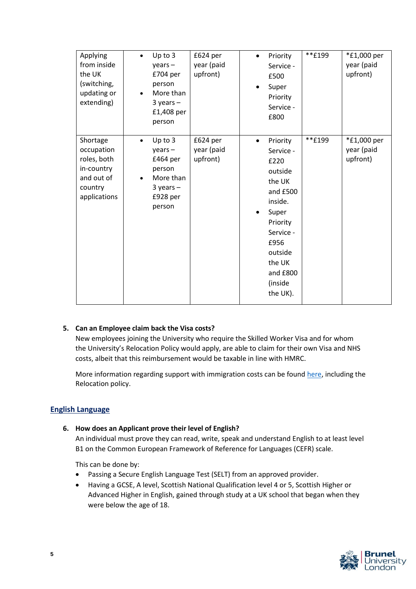| Applying<br>from inside<br>the UK<br>(switching,<br>updating or<br>extending)                | Up to 3<br>$years -$<br>£704 per<br>person<br>More than<br>$3$ years $-$<br>£1,408 per<br>person            | £624 per<br>year (paid<br>upfront) |           | Priority<br>Service -<br>£500<br>Super<br>Priority<br>Service -<br>£800                                                                                                     | **£199 | *£1,000 per<br>year (paid<br>upfront) |
|----------------------------------------------------------------------------------------------|-------------------------------------------------------------------------------------------------------------|------------------------------------|-----------|-----------------------------------------------------------------------------------------------------------------------------------------------------------------------------|--------|---------------------------------------|
| Shortage<br>occupation<br>roles, both<br>in-country<br>and out of<br>country<br>applications | Up to 3<br>$\bullet$<br>$years -$<br>£464 per<br>person<br>More than<br>$3$ years $-$<br>£928 per<br>person | £624 per<br>year (paid<br>upfront) | $\bullet$ | Priority<br>Service -<br>£220<br>outside<br>the UK<br>and £500<br>inside.<br>Super<br>Priority<br>Service -<br>£956<br>outside<br>the UK<br>and £800<br>(inside<br>the UK). | **£199 | *£1,000 per<br>year (paid<br>upfront) |

# **5. Can an Employee claim back the Visa costs?**

New employees joining the University who require the Skilled Worker Visa and for whom the University's Relocation Policy would apply, are able to claim for their own Visa and NHS costs, albeit that this reimbursement would be taxable in line with HMRC.

More information regarding support with immigration costs can be found [here,](https://staff.brunel.ac.uk/directorates/hr/recruitment/global-mobility) including the Relocation policy.

#### **English Language**

#### **6. How does an Applicant prove their level of English?**

An individual must prove they can read, write, speak and understand English to at least level B1 on the Common European Framework of Reference for Languages (CEFR) scale.

This can be done by:

- Passing a Secure English Language Test (SELT) from an approved provider.
- Having a GCSE, A level, Scottish National Qualification level 4 or 5, Scottish Higher or Advanced Higher in English, gained through study at a UK school that began when they were below the age of 18.

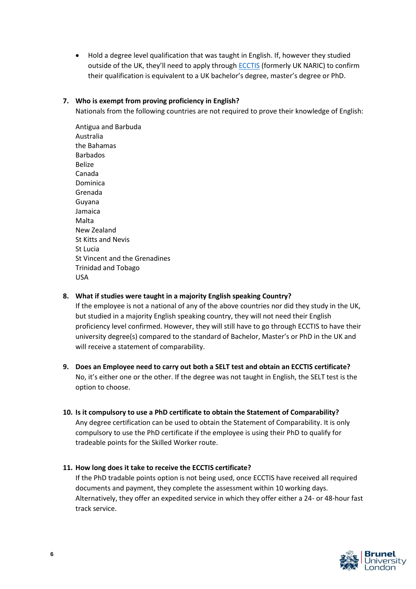• Hold a degree level qualification that was taught in English. If, however they studied outside of the UK, they'll need to apply through [ECCTIS](https://www.ecctis.com/visasandnationality) (formerly UK NARIC) to confirm their qualification is equivalent to a UK bachelor's degree, master's degree or PhD.

#### **7. Who is exempt from proving proficiency in English?**

Nationals from the following countries are not required to prove their knowledge of English:

Antigua and Barbuda Australia the Bahamas Barbados Belize Canada Dominica Grenada Guyana Jamaica Malta New Zealand St Kitts and Nevis St Lucia St Vincent and the Grenadines Trinidad and Tobago USA

**8. What if studies were taught in a majority English speaking Country?**

If the employee is not a national of any of the above countries nor did they study in the UK, but studied in a majority English speaking country, they will not need their English proficiency level confirmed. However, they will still have to go through ECCTIS to have their university degree(s) compared to the standard of Bachelor, Master's or PhD in the UK and will receive a statement of comparability.

- **9. Does an Employee need to carry out both a SELT test and obtain an ECCTIS certificate?** No, it's either one or the other. If the degree was not taught in English, the SELT test is the option to choose.
- **10. Is it compulsory to use a PhD certificate to obtain the Statement of Comparability?** Any degree certification can be used to obtain the Statement of Comparability. It is only compulsory to use the PhD certificate if the employee is using their PhD to qualify for tradeable points for the Skilled Worker route.

#### **11. How long does it take to receive the ECCTIS certificate?**

If the PhD tradable points option is not being used, once ECCTIS have received all required documents and payment, they complete the assessment within 10 working days. Alternatively, they offer an expedited service in which they offer either a 24- or 48-hour fast track service.

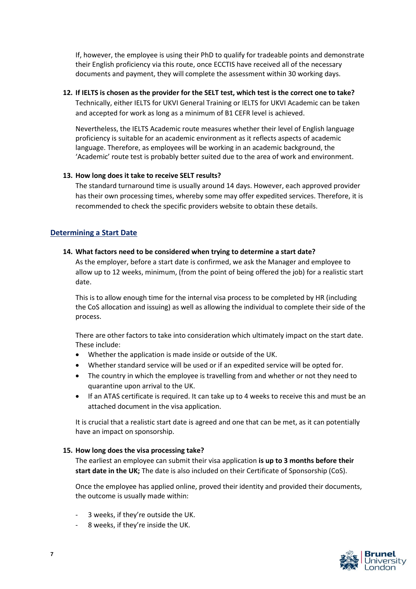If, however, the employee is using their PhD to qualify for tradeable points and demonstrate their English proficiency via this route, once ECCTIS have received all of the necessary documents and payment, they will complete the assessment within 30 working days.

# **12. If IELTS is chosen as the provider for the SELT test, which test is the correct one to take?**

Technically, either IELTS for UKVI General Training or IELTS for UKVI Academic can be taken and accepted for work as long as a minimum of B1 CEFR level is achieved.

Nevertheless, the IELTS Academic route measures whether their level of English language proficiency is suitable for an academic environment as it reflects aspects of academic language. Therefore, as employees will be working in an academic background, the 'Academic' route test is probably better suited due to the area of work and environment.

#### **13. How long does it take to receive SELT results?**

The standard turnaround time is usually around 14 days. However, each approved provider has their own processing times, whereby some may offer expedited services. Therefore, it is recommended to check the specific providers website to obtain these details.

# **Determining a Start Date**

#### **14. What factors need to be considered when trying to determine a start date?**

As the employer, before a start date is confirmed, we ask the Manager and employee to allow up to 12 weeks, minimum, (from the point of being offered the job) for a realistic start date.

This is to allow enough time for the internal visa process to be completed by HR (including the CoS allocation and issuing) as well as allowing the individual to complete their side of the process.

There are other factors to take into consideration which ultimately impact on the start date. These include:

- Whether the application is made inside or outside of the UK.
- Whether standard service will be used or if an expedited service will be opted for.
- The country in which the employee is travelling from and whether or not they need to quarantine upon arrival to the UK.
- If an ATAS certificate is required. It can take up to 4 weeks to receive this and must be an attached document in the visa application.

It is crucial that a realistic start date is agreed and one that can be met, as it can potentially have an impact on sponsorship.

#### **15. How long does the visa processing take?**

The earliest an employee can submit their visa application **is up to 3 months before their start date in the UK;** The date is also included on their Certificate of Sponsorship (CoS).

Once the employee has applied online, proved their identity and provided their documents, the outcome is usually made within:

- 3 weeks, if they're outside the UK.
- 8 weeks, if they're inside the UK.

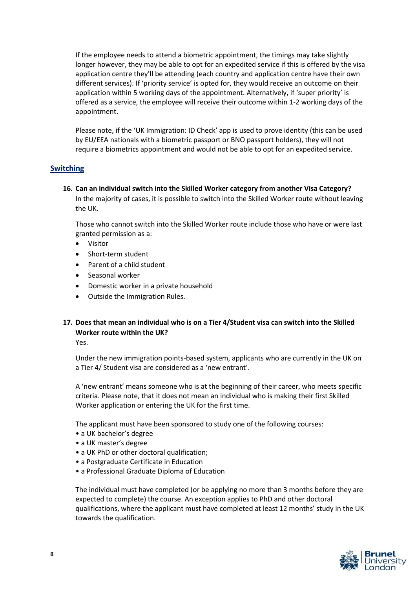If the employee needs to attend a biometric appointment, the timings may take slightly longer however, they may be able to opt for an expedited service if this is offered by the visa application centre they'll be attending (each country and application centre have their own different services). If 'priority service' is opted for, they would receive an outcome on their application within 5 working days of the appointment. Alternatively, if 'super priority' is offered as a service, the employee will receive their outcome within 1-2 working days of the appointment.

Please note, if the 'UK Immigration: ID Check' app is used to prove identity (this can be used by EU/EEA nationals with a biometric passport or BNO passport holders), they will not require a biometrics appointment and would not be able to opt for an expedited service.

# **Switching**

**16. Can an individual switch into the Skilled Worker category from another Visa Category?** In the majority of cases, it is possible to switch into the Skilled Worker route without leaving the UK.

Those who cannot switch into the Skilled Worker route include those who have or were last granted permission as a:

- **Visitor**
- Short-term student
- Parent of a child student
- Seasonal worker
- Domestic worker in a private household
- Outside the Immigration Rules.

# **17. Does that mean an individual who is on a Tier 4/Student visa can switch into the Skilled Worker route within the UK?**

Yes.

Under the new immigration points-based system, applicants who are currently in the UK on a Tier 4/ Student visa are considered as a 'new entrant'.

A 'new entrant' means someone who is at the beginning of their career, who meets specific criteria. Please note, that it does not mean an individual who is making their first Skilled Worker application or entering the UK for the first time.

The applicant must have been sponsored to study one of the following courses:

- a UK bachelor's degree
- a UK master's degree
- a UK PhD or other doctoral qualification;
- a Postgraduate Certificate in Education
- a Professional Graduate Diploma of Education

The individual must have completed (or be applying no more than 3 months before they are expected to complete) the course. An exception applies to PhD and other doctoral qualifications, where the applicant must have completed at least 12 months' study in the UK towards the qualification.

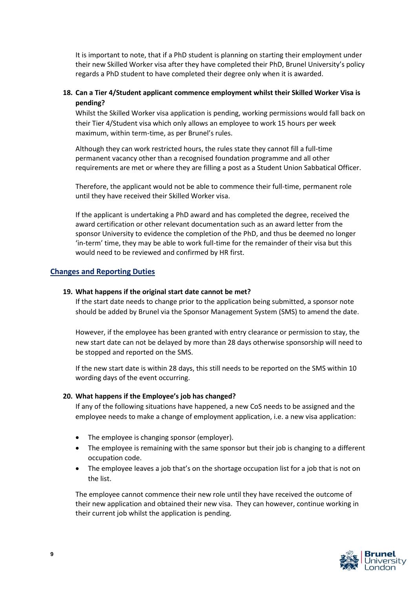It is important to note, that if a PhD student is planning on starting their employment under their new Skilled Worker visa after they have completed their PhD, Brunel University's policy regards a PhD student to have completed their degree only when it is awarded.

# **18. Can a Tier 4/Student applicant commence employment whilst their Skilled Worker Visa is pending?**

Whilst the Skilled Worker visa application is pending, working permissions would fall back on their Tier 4/Student visa which only allows an employee to work 15 hours per week maximum, within term-time, as per Brunel's rules.

Although they can work restricted hours, the rules state they cannot fill a full-time permanent vacancy other than a recognised foundation programme and all other requirements are met or where they are filling a post as a Student Union Sabbatical Officer.

Therefore, the applicant would not be able to commence their full-time, permanent role until they have received their Skilled Worker visa.

If the applicant is undertaking a PhD award and has completed the degree, received the award certification or other relevant documentation such as an award letter from the sponsor University to evidence the completion of the PhD, and thus be deemed no longer 'in-term' time, they may be able to work full-time for the remainder of their visa but this would need to be reviewed and confirmed by HR first.

#### **Changes and Reporting Duties**

#### **19. What happens if the original start date cannot be met?**

If the start date needs to change prior to the application being submitted, a sponsor note should be added by Brunel via the Sponsor Management System (SMS) to amend the date.

However, if the employee has been granted with entry clearance or permission to stay, the new start date can not be delayed by more than 28 days otherwise sponsorship will need to be stopped and reported on the SMS.

If the new start date is within 28 days, this still needs to be reported on the SMS within 10 wording days of the event occurring.

#### **20. What happens if the Employee's job has changed?**

If any of the following situations have happened, a new CoS needs to be assigned and the employee needs to make a change of employment application, i.e. a new visa application:

- The employee is changing sponsor (employer).
- The employee is remaining with the same sponsor but their job is changing to a different occupation code.
- The employee leaves a job that's on the shortage occupation list for a job that is not on the list.

The employee cannot commence their new role until they have received the outcome of their new application and obtained their new visa. They can however, continue working in their current job whilst the application is pending.

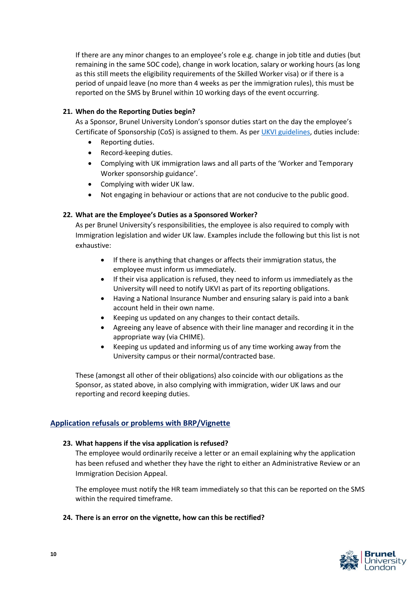If there are any minor changes to an employee's role e.g. change in job title and duties (but remaining in the same SOC code), change in work location, salary or working hours (as long as this still meets the eligibility requirements of the Skilled Worker visa) or if there is a period of unpaid leave (no more than 4 weeks as per the immigration rules), this must be reported on the SMS by Brunel within 10 working days of the event occurring.

# **21. When do the Reporting Duties begin?**

As a Sponsor, Brunel University London's sponsor duties start on the day the employee's Certificate of Sponsorship (CoS) is assigned to them. As pe[r UKVI guidelines,](https://assets.publishing.service.gov.uk/government/uploads/system/uploads/attachment_data/file/987890/2021-05-18_Sponsor-guidance-Part-3-compliance-05-21_v1.0.pdf) duties include:

- Reporting duties.
- Record-keeping duties.
- Complying with UK immigration laws and all parts of the 'Worker and Temporary Worker sponsorship guidance'.
- Complying with wider UK law.
- Not engaging in behaviour or actions that are not conducive to the public good.

#### **22. What are the Employee's Duties as a Sponsored Worker?**

As per Brunel University's responsibilities, the employee is also required to comply with Immigration legislation and wider UK law. Examples include the following but this list is not exhaustive:

- If there is anything that changes or affects their immigration status, the employee must inform us immediately.
- If their visa application is refused, they need to inform us immediately as the University will need to notify UKVI as part of its reporting obligations.
- Having a National Insurance Number and ensuring salary is paid into a bank account held in their own name.
- Keeping us updated on any changes to their contact details.
- Agreeing any leave of absence with their line manager and recording it in the appropriate way (via CHIME).
- Keeping us updated and informing us of any time working away from the University campus or their normal/contracted base.

These (amongst all other of their obligations) also coincide with our obligations as the Sponsor, as stated above, in also complying with immigration, wider UK laws and our reporting and record keeping duties.

## **Application refusals or problems with BRP/Vignette**

#### **23. What happens if the visa application is refused?**

The employee would ordinarily receive a letter or an email explaining why the application has been refused and whether they have the right to either an Administrative Review or an Immigration Decision Appeal.

The employee must notify the HR team immediately so that this can be reported on the SMS within the required timeframe.

#### **24. There is an error on the vignette, how can this be rectified?**